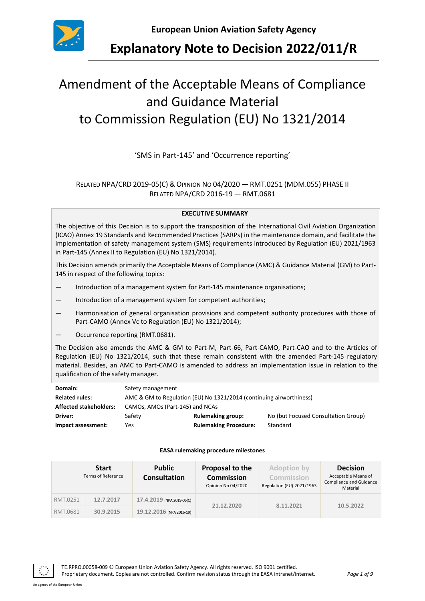

**Explanatory Note to Decision 2022/011/R**

# Amendment of the Acceptable Means of Compliance and Guidance Material to Commission Regulation (EU) No 1321/2014

'SMS in Part-145' and 'Occurrence reporting'

## RELATED NPA/CRD 2019-05(C) & OPINION NO 04/2020 — RMT.0251 (MDM.055) PHASE II RELATED NPA/CRD 2016-19 — RMT.0681

#### **EXECUTIVE SUMMARY**

The objective of this Decision is to support the transposition of the International Civil Aviation Organization (ICAO) Annex 19 Standards and Recommended Practices (SARPs) in the maintenance domain, and facilitate the implementation of safety management system (SMS) requirements introduced by Regulation (EU) 2021/1963 in Part-145 (Annex II to Regulation (EU) No 1321/2014).

This Decision amends primarily the Acceptable Means of Compliance (AMC) & Guidance Material (GM) to Part-145 in respect of the following topics:

- Introduction of a management system for Part-145 maintenance organisations;
- Introduction of a management system for competent authorities;
- Harmonisation of general organisation provisions and competent authority procedures with those of Part-CAMO (Annex Vc to Regulation (EU) No 1321/2014);
- Occurrence reporting (RMT.0681).

The Decision also amends the AMC & GM to Part-M, Part-66, Part-CAMO, Part-CAO and to the Articles of Regulation (EU) No 1321/2014, such that these remain consistent with the amended Part-145 regulatory material. Besides, an AMC to Part-CAMO is amended to address an implementation issue in relation to the qualification of the safety manager.

| Domain:                       | Safety management                                                   |                              |                                     |  |  |
|-------------------------------|---------------------------------------------------------------------|------------------------------|-------------------------------------|--|--|
| <b>Related rules:</b>         | AMC & GM to Regulation (EU) No 1321/2014 (continuing airworthiness) |                              |                                     |  |  |
| <b>Affected stakeholders:</b> | CAMOs, AMOs (Part-145) and NCAs                                     |                              |                                     |  |  |
| Driver:                       | Safety                                                              | <b>Rulemaking group:</b>     | No (but Focused Consultation Group) |  |  |
| Impact assessment:            | Yes                                                                 | <b>Rulemaking Procedure:</b> | Standard                            |  |  |

#### **EASA rulemaking procedure milestones**

|          | <b>Start</b><br><b>Terms of Reference</b> | <b>Public</b><br><b>Consultation</b> | Proposal to the<br><b>Commission</b><br>Opinion No 04/2020 | <b>Adoption by</b><br>Commission<br>Regulation (EU) 2021/1963 | <b>Decision</b><br>Acceptable Means of<br>Compliance and Guidance<br>Material |
|----------|-------------------------------------------|--------------------------------------|------------------------------------------------------------|---------------------------------------------------------------|-------------------------------------------------------------------------------|
| RMT.0251 | 12.7.2017                                 | 17.4.2019 (NPA 2019-05(C)            | 21.12.2020                                                 | 8.11.2021                                                     | 10.5.2022                                                                     |
| RMT.0681 | 30.9.2015                                 | 19.12.2016 (NPA 2016-19)             |                                                            |                                                               |                                                                               |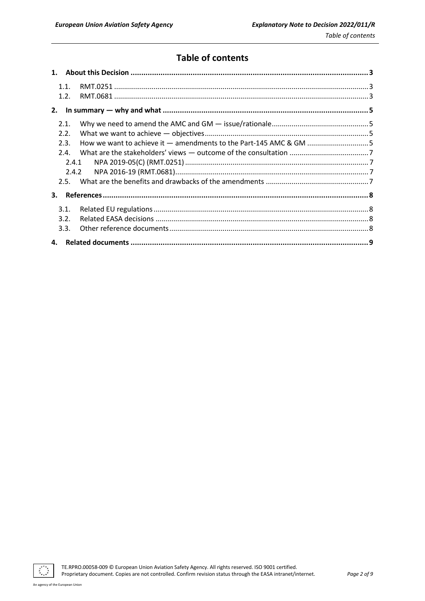# **Table of contents**

|      | 1.1.  |  |
|------|-------|--|
|      | 1.2.  |  |
|      |       |  |
| 2.1. |       |  |
| 2.2. |       |  |
| 2.3. |       |  |
| 2.4. |       |  |
|      | 2.4.1 |  |
|      | 2.4.2 |  |
|      |       |  |
| 3.   |       |  |
| 3.1. |       |  |
| 3.2. |       |  |
| 3.3. |       |  |
|      |       |  |

 $\mathcal{L}_{\mathcal{A}}$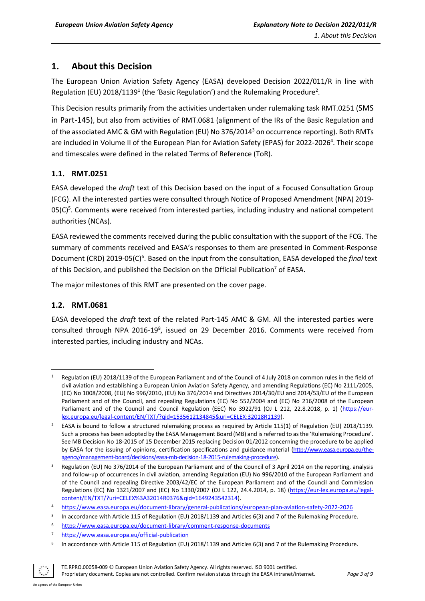## <span id="page-2-0"></span>**1. About this Decision**

The European Union Aviation Safety Agency (EASA) developed Decision 2022/011/R in line with Regulation (EU) 2018/1139<sup>1</sup> (the 'Basic Regulation') and the Rulemaking Procedure<sup>2</sup>.

This Decision results primarily from the activities undertaken under rulemaking task RMT.0251 (SMS in Part-145), but also from activities of RMT.0681 (alignment of the IRs of the Basic Regulation and of the associated AMC & GM with Regulation (EU) No 376/2014<sup>3</sup> on occurrence reporting). Both RMTs are included in Volume II of the European Plan for Aviation Safety (EPAS) for 2022-2026<sup>4</sup>. Their scope and timescales were defined in the related Terms of Reference (ToR).

## <span id="page-2-1"></span>**1.1. RMT.0251**

EASA developed the *draft* text of this Decision based on the input of a Focused Consultation Group (FCG). All the interested parties were consulted through Notice of Proposed Amendment (NPA) 2019- 05(C)<sup>5</sup>. Comments were received from interested parties, including industry and national competent authorities (NCAs).

EASA reviewed the comments received during the public consultation with the support of the FCG. The summary of comments received and EASA's responses to them are presented in Comment-Response Document (CRD) 2019-05(C)<sup>6</sup>. Based on the input from the consultation, EASA developed the *final* text of this Decision, and published the Decision on the Official Publication<sup>7</sup> of EASA.

The major milestones of this RMT are presented on the cover page.

## <span id="page-2-2"></span>**1.2. RMT.0681**

EASA developed the *draft* text of the related Part-145 AMC & GM. All the interested parties were consulted through NPA 2016-19<sup>8</sup>, issued on 29 December 2016. Comments were received from interested parties, including industry and NCAs.

<sup>8</sup> In accordance with Article 115 of Regulation (EU) 2018/1139 and Articles 6(3) and 7 of the Rulemaking Procedure.



Regulation (EU) 2018/1139 of the European Parliament and of the Council of 4 July 2018 on common rules in the field of civil aviation and establishing a European Union Aviation Safety Agency, and amending Regulations (EC) No 2111/2005, (EC) No 1008/2008, (EU) No 996/2010, (EU) No 376/2014 and Directives 2014/30/EU and 2014/53/EU of the European Parliament and of the Council, and repealing Regulations (EC) No 552/2004 and (EC) No 216/2008 of the European Parliament and of the Council and Council Regulation (EEC) No 3922/91 (OJ L 212, 22.8.2018, p. 1) [\(https://eur](https://eur-lex.europa.eu/legal-content/EN/TXT/?qid=1535612134845&uri=CELEX:32018R1139)[lex.europa.eu/legal-content/EN/TXT/?qid=1535612134845&uri=CELEX:32018R1139\)](https://eur-lex.europa.eu/legal-content/EN/TXT/?qid=1535612134845&uri=CELEX:32018R1139).

<sup>&</sup>lt;sup>2</sup> EASA is bound to follow a structured rulemaking process as required by Article 115(1) of Regulation (EU) 2018/1139. Such a process has been adopted by the EASA Management Board (MB) and is referred to as the 'Rulemaking Procedure'. See MB Decision No 18-2015 of 15 December 2015 replacing Decision 01/2012 concerning the procedure to be applied by EASA for the issuing of opinions, certification specifications and guidance material [\(http://www.easa.europa.eu/the](http://www.easa.europa.eu/the-agency/management-board/decisions/easa-mb-decision-18-2015-rulemaking-procedure)[agency/management-board/decisions/easa-mb-decision-18-2015-rulemaking-procedure\)](http://www.easa.europa.eu/the-agency/management-board/decisions/easa-mb-decision-18-2015-rulemaking-procedure).

<sup>&</sup>lt;sup>3</sup> Regulation (EU) No 376/2014 of the European Parliament and of the Council of 3 April 2014 on the reporting, analysis and follow-up of occurrences in civil aviation, amending Regulation (EU) No 996/2010 of the European Parliament and of the Council and repealing Directive 2003/42/EC of the European Parliament and of the Council and Commission Regulations (EC) No 1321/2007 and (EC) No 1330/2007 (OJ L 122, 24.4.2014, p. 18) [\(https://eur-lex.europa.eu/legal](https://eur-lex.europa.eu/legal-content/EN/TXT/?uri=CELEX%3A32014R0376&qid=1649243542314)[content/EN/TXT/?uri=CELEX%3A32014R0376&qid=1649243542314\)](https://eur-lex.europa.eu/legal-content/EN/TXT/?uri=CELEX%3A32014R0376&qid=1649243542314).

<sup>4</sup> <https://www.easa.europa.eu/document-library/general-publications/european-plan-aviation-safety-2022-2026>

<sup>5</sup> In accordance with Article 115 of Regulation (EU) 2018/1139 and Articles 6(3) and 7 of the Rulemaking Procedure.

<sup>6</sup> <https://www.easa.europa.eu/document-library/comment-response-documents>

<sup>7</sup> <https://www.easa.europa.eu/official-publication>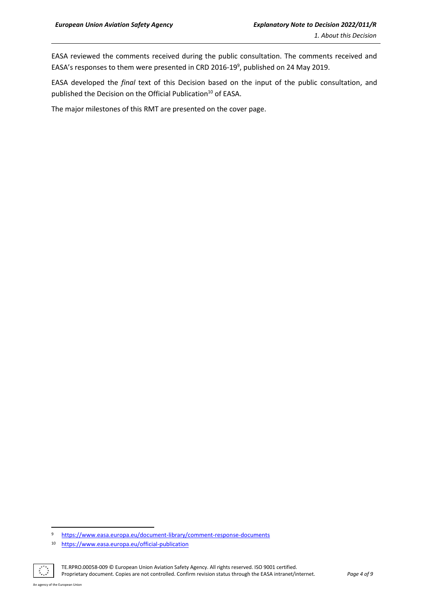EASA reviewed the comments received during the public consultation. The comments received and EASA's responses to them were presented in CRD 2016-19<sup>9</sup>, published on 24 May 2019.

EASA developed the *final* text of this Decision based on the input of the public consultation, and published the Decision on the Official Publication<sup>10</sup> of EASA.

The major milestones of this RMT are presented on the cover page.

<sup>10</sup> <https://www.easa.europa.eu/official-publication>



TE.RPRO.00058-009 © European Union Aviation Safety Agency. All rights reserved. ISO 9001 certified. Proprietary document. Copies are not controlled. Confirm revision status through the EASA intranet/internet. *Page 4 of 9*

<sup>9</sup> <https://www.easa.europa.eu/document-library/comment-response-documents>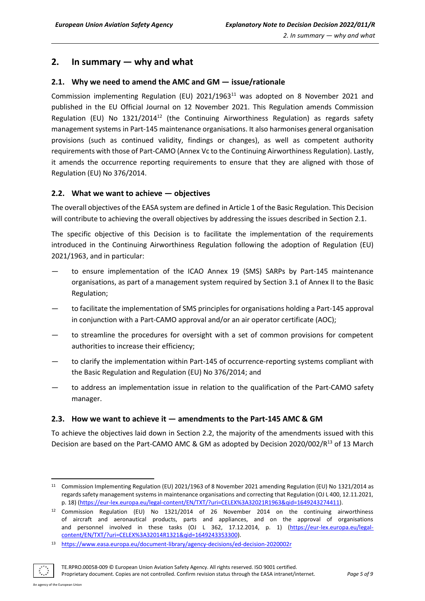## <span id="page-4-0"></span>**2. In summary — why and what**

## <span id="page-4-1"></span>**2.1. Why we need to amend the AMC and GM — issue/rationale**

Commission implementing Regulation (EU)  $2021/1963<sup>11</sup>$  was adopted on 8 November 2021 and published in the EU Official Journal on 12 November 2021. This Regulation amends Commission Regulation (EU) No 1321/2014<sup>12</sup> (the Continuing Airworthiness Regulation) as regards safety management systems in Part-145 maintenance organisations. It also harmonises general organisation provisions (such as continued validity, findings or changes), as well as competent authority requirements with those of Part-CAMO (Annex Vc to the Continuing Airworthiness Regulation). Lastly, it amends the occurrence reporting requirements to ensure that they are aligned with those of Regulation (EU) No 376/2014.

## <span id="page-4-2"></span>**2.2. What we want to achieve — objectives**

The overall objectives of the EASA system are defined in Article 1 of the Basic Regulation. This Decision will contribute to achieving the overall objectives by addressing the issues described in Section 2.1.

The specific objective of this Decision is to facilitate the implementation of the requirements introduced in the Continuing Airworthiness Regulation following the adoption of Regulation (EU) 2021/1963, and in particular:

- to ensure implementation of the ICAO Annex 19 (SMS) SARPs by Part-145 maintenance organisations, as part of a management system required by Section 3.1 of Annex II to the Basic Regulation;
- to facilitate the implementation of SMS principles for organisations holding a Part-145 approval in conjunction with a Part-CAMO approval and/or an air operator certificate (AOC);
- to streamline the procedures for oversight with a set of common provisions for competent authorities to increase their efficiency;
- to clarify the implementation within Part-145 of occurrence-reporting systems compliant with the Basic Regulation and Regulation (EU) No 376/2014; and
- to address an implementation issue in relation to the qualification of the Part-CAMO safety manager.

## <span id="page-4-3"></span>**2.3. How we want to achieve it — amendments to the Part-145 AMC & GM**

To achieve the objectives laid down in Section 2.2, the majority of the amendments issued with this Decision are based on the Part-CAMO AMC & GM as adopted by Decision 2020/002/R<sup>13</sup> of 13 March

<sup>13</sup> <https://www.easa.europa.eu/document-library/agency-decisions/ed-decision-2020002r>



TE.RPRO.00058-009 © European Union Aviation Safety Agency. All rights reserved. ISO 9001 certified.

<sup>&</sup>lt;sup>11</sup> Commission Implementing Regulation (EU) 2021/1963 of 8 November 2021 amending Regulation (EU) No 1321/2014 as regards safety management systems in maintenance organisations and correcting that Regulation (OJ L 400, 12.11.2021, p. 18) [\(https://eur-lex.europa.eu/legal-content/EN/TXT/?uri=CELEX%3A32021R1963&qid=1649243274411\)](https://eur-lex.europa.eu/legal-content/EN/TXT/?uri=CELEX%3A32021R1963&qid=1649243274411).

<sup>12</sup> Commission Regulation (EU) No 1321/2014 of 26 November 2014 on the continuing airworthiness of aircraft and aeronautical products, parts and appliances, and on the approval of organisations and personnel involved in these tasks (OJ L 362, 17.12.2014, p. 1) [\(https://eur-lex.europa.eu/legal](https://eur-lex.europa.eu/legal-content/EN/TXT/?uri=CELEX%3A32014R1321&qid=1649243353300)[content/EN/TXT/?uri=CELEX%3A32014R1321&qid=1649243353300\)](https://eur-lex.europa.eu/legal-content/EN/TXT/?uri=CELEX%3A32014R1321&qid=1649243353300).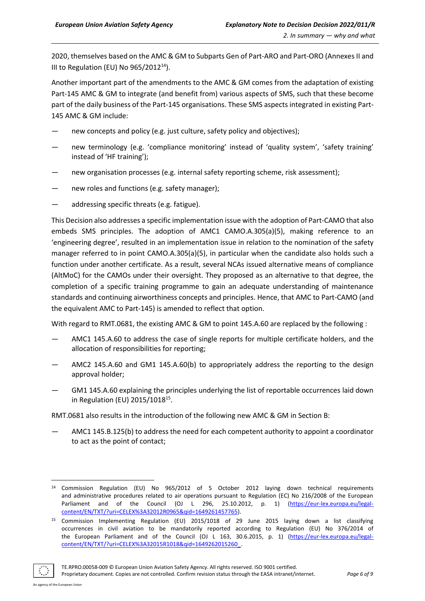2020, themselves based on the AMC & GM to Subparts Gen of Part-ARO and Part-ORO (Annexes II and III to Regulation (EU) No 965/2012<sup>14</sup>).

Another important part of the amendments to the AMC & GM comes from the adaptation of existing Part-145 AMC & GM to integrate (and benefit from) various aspects of SMS, such that these become part of the daily business of the Part-145 organisations. These SMS aspects integrated in existing Part-145 AMC & GM include:

- hew concepts and policy (e.g. just culture, safety policy and objectives);
- new terminology (e.g. 'compliance monitoring' instead of 'quality system', 'safety training' instead of 'HF training');
- new organisation processes (e.g. internal safety reporting scheme, risk assessment);
- new roles and functions (e.g. safety manager);
- addressing specific threats (e.g. fatigue).

This Decision also addresses a specific implementation issue with the adoption of Part-CAMO that also embeds SMS principles. The adoption of AMC1 CAMO.A.305(a)(5), making reference to an 'engineering degree', resulted in an implementation issue in relation to the nomination of the safety manager referred to in point CAMO.A.305(a)(5), in particular when the candidate also holds such a function under another certificate. As a result, several NCAs issued alternative means of compliance (AltMoC) for the CAMOs under their oversight. They proposed as an alternative to that degree, the completion of a specific training programme to gain an adequate understanding of maintenance standards and continuing airworthiness concepts and principles. Hence, that AMC to Part-CAMO (and the equivalent AMC to Part-145) is amended to reflect that option.

With regard to RMT.0681, the existing AMC & GM to point 145.A.60 are replaced by the following :

- AMC1 145.A.60 to address the case of single reports for multiple certificate holders, and the allocation of responsibilities for reporting;
- AMC2 145.A.60 and GM1 145.A.60(b) to appropriately address the reporting to the design approval holder;
- GM1 145.A.60 explaining the principles underlying the list of reportable occurrences laid down in Regulation (EU) 2015/1018<sup>15</sup>.

RMT.0681 also results in the introduction of the following new AMC & GM in Section B:

— AMC1 145.B.125(b) to address the need for each competent authority to appoint a coordinator to act as the point of contact;

<sup>15</sup> Commission Implementing Regulation (EU) 2015/1018 of 29 June 2015 laying down a list classifying occurrences in civil aviation to be mandatorily reported according to Regulation (EU) No 376/2014 of the European Parliament and of the Council (OJ L 163, 30.6.2015, p. 1) [\(https://eur-lex.europa.eu/legal](https://eur-lex.europa.eu/legal-content/EN/TXT/?uri=CELEX%3A32015R1018&qid=1649262015260_)[content/EN/TXT/?uri=CELEX%3A32015R1018&qid=1649262015260\\_.](https://eur-lex.europa.eu/legal-content/EN/TXT/?uri=CELEX%3A32015R1018&qid=1649262015260_) 



<sup>&</sup>lt;sup>14</sup> Commission Regulation (EU) No 965/2012 of 5 October 2012 laying down technical requirements and administrative procedures related to air operations pursuant to Regulation (EC) No 216/2008 of the European Parliament and of the Council (OJ L 296, 25.10.2012, p. 1) [\(https://eur-lex.europa.eu/legal](https://eur-lex.europa.eu/legal-content/EN/TXT/?uri=CELEX%3A32012R0965&qid=1649261457765)[content/EN/TXT/?uri=CELEX%3A32012R0965&qid=1649261457765\)](https://eur-lex.europa.eu/legal-content/EN/TXT/?uri=CELEX%3A32012R0965&qid=1649261457765).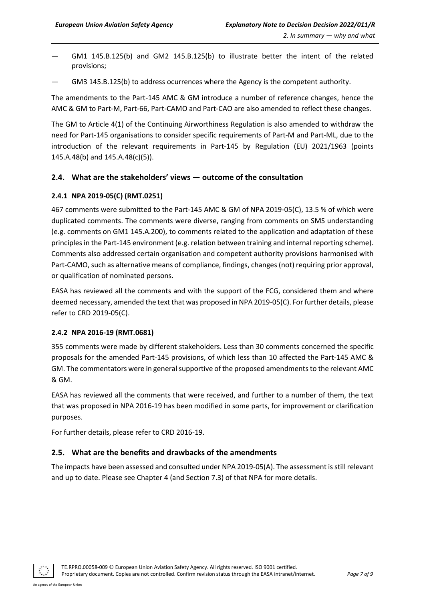- $GM1$  145.B.125(b) and GM2 145.B.125(b) to illustrate better the intent of the related provisions;
- GM3 145.B.125(b) to address ocurrences where the Agency is the competent authority.

The amendments to the Part-145 AMC & GM introduce a number of reference changes, hence the AMC & GM to Part-M, Part-66, Part-CAMO and Part-CAO are also amended to reflect these changes.

The GM to Article 4(1) of the Continuing Airworthiness Regulation is also amended to withdraw the need for Part-145 organisations to consider specific requirements of Part-M and Part-ML, due to the introduction of the relevant requirements in Part-145 by Regulation (EU) 2021/1963 (points 145.A.48(b) and 145.A.48(c)(5)).

#### <span id="page-6-0"></span>**2.4. What are the stakeholders' views — outcome of the consultation**

#### <span id="page-6-1"></span>**2.4.1 NPA 2019-05(C) (RMT.0251)**

467 comments were submitted to the Part-145 AMC & GM of NPA 2019-05(C), 13.5 % of which were duplicated comments. The comments were diverse, ranging from comments on SMS understanding (e.g. comments on GM1 145.A.200), to comments related to the application and adaptation of these principles in the Part-145 environment (e.g. relation between training and internal reporting scheme). Comments also addressed certain organisation and competent authority provisions harmonised with Part-CAMO, such as alternative means of compliance, findings, changes (not) requiring prior approval, or qualification of nominated persons.

EASA has reviewed all the comments and with the support of the FCG, considered them and where deemed necessary, amended the text that was proposed in NPA 2019-05(C). For further details, please refer to CRD 2019-05(C).

#### <span id="page-6-2"></span>**2.4.2 NPA 2016-19 (RMT.0681)**

355 comments were made by different stakeholders. Less than 30 comments concerned the specific proposals for the amended Part-145 provisions, of which less than 10 affected the Part-145 AMC & GM. The commentators were in general supportive of the proposed amendments to the relevant AMC & GM.

EASA has reviewed all the comments that were received, and further to a number of them, the text that was proposed in NPA 2016-19 has been modified in some parts, for improvement or clarification purposes.

For further details, please refer to CRD 2016-19.

## <span id="page-6-3"></span>**2.5. What are the benefits and drawbacks of the amendments**

The impacts have been assessed and consulted under NPA 2019-05(A). The assessment is still relevant and up to date. Please see Chapter 4 (and Section 7.3) of that NPA for more details.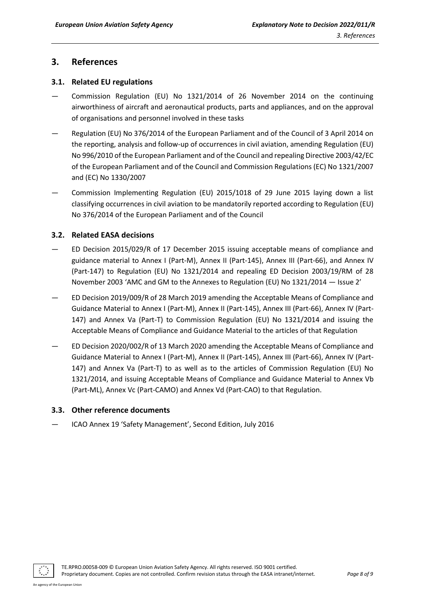## <span id="page-7-0"></span>**3. References**

## <span id="page-7-1"></span>**3.1. Related EU regulations**

- Commission Regulation (EU) No 1321/2014 of 26 November 2014 on the continuing airworthiness of aircraft and aeronautical products, parts and appliances, and on the approval of organisations and personnel involved in these tasks
- Regulation (EU) No 376/2014 of the European Parliament and of the Council of 3 April 2014 on the reporting, analysis and follow-up of occurrences in civil aviation, amending Regulation (EU) No 996/2010 of the European Parliament and of the Council and repealing Directive 2003/42/EC of the European Parliament and of the Council and Commission Regulations (EC) No 1321/2007 and (EC) No 1330/2007
- Commission Implementing Regulation (EU) 2015/1018 of 29 June 2015 laying down a list classifying occurrences in civil aviation to be mandatorily reported according to Regulation (EU) No 376/2014 of the European Parliament and of the Council

## <span id="page-7-2"></span>**3.2. Related EASA decisions**

- ED Decision 2015/029/R of 17 December 2015 issuing acceptable means of compliance and guidance material to Annex I (Part-M), Annex II (Part-145), Annex III (Part-66), and Annex IV (Part-147) to Regulation (EU) No 1321/2014 and repealing ED Decision 2003/19/RM of 28 November 2003 'AMC and GM to the Annexes to Regulation (EU) No 1321/2014 — Issue 2'
- ED Decision 2019/009/R of 28 March 2019 amending the Acceptable Means of Compliance and Guidance Material to Annex I (Part-M), Annex II (Part-145), Annex III (Part-66), Annex IV (Part-147) and Annex Va (Part-T) to Commission Regulation (EU) No 1321/2014 and issuing the Acceptable Means of Compliance and Guidance Material to the articles of that Regulation
- ED Decision 2020/002/R of 13 March 2020 amending the Acceptable Means of Compliance and Guidance Material to Annex I (Part-M), Annex II (Part-145), Annex III (Part-66), Annex IV (Part-147) and Annex Va (Part-T) to as well as to the articles of Commission Regulation (EU) No 1321/2014, and issuing Acceptable Means of Compliance and Guidance Material to Annex Vb (Part-ML), Annex Vc (Part-CAMO) and Annex Vd (Part-CAO) to that Regulation.

## <span id="page-7-3"></span>**3.3. Other reference documents**

— ICAO Annex 19 'Safety Management', Second Edition, July 2016